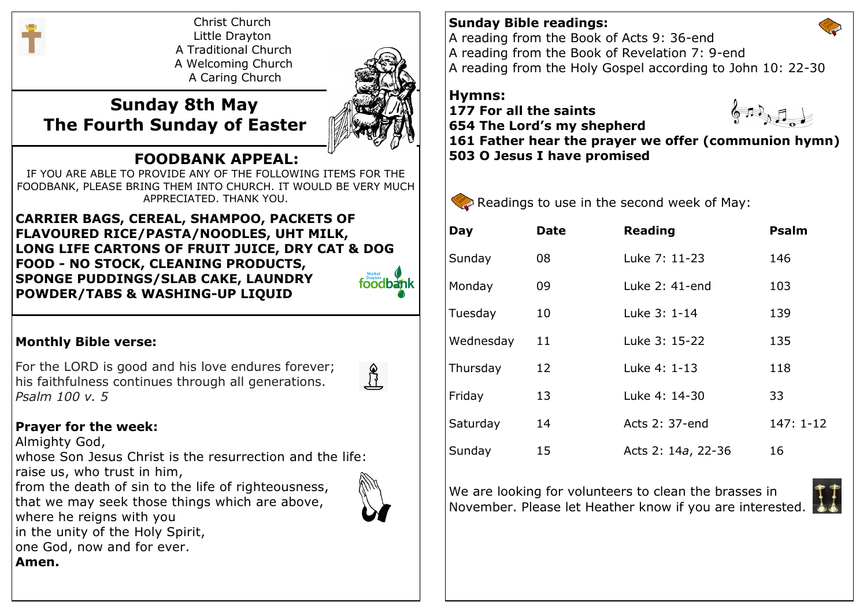

Christ Church Little Drayton A Traditional Church A Welcoming Church A Caring Church



# **Sunday 8th May The Fourth Sunday of Easter**

## **FOODBANK APPEAL:**

IF YOU ARE ABLE TO PROVIDE ANY OF THE FOLLOWING ITEMS FOR THE FOODBANK, PLEASE BRING THEM INTO CHURCH. IT WOULD BE VERY MUCH APPRECIATED. THANK YOU.

**CARRIER BAGS, CEREAL, SHAMPOO, PACKETS OF FLAVOURED RICE/PASTA/NOODLES, UHT MILK, LONG LIFE CARTONS OF FRUIT JUICE, DRY CAT & DOG FOOD - NO STOCK, CLEANING PRODUCTS, SPONGE PUDDINGS/SLAB CAKE, LAUNDRY**  foodbank **POWDER/TABS & WASHING-UP LIQUID**

#### **Monthly Bible verse:**

For the LORD is good and his love endures forever; his faithfulness continues through all generations. *Psalm 100 v. 5*



## **Prayer for the week:**

Almighty God,

whose Son Jesus Christ is the resurrection and the life: raise us, who trust in him,

from the death of sin to the life of righteousness, that we may seek those things which are above, where he reigns with you in the unity of the Holy Spirit, one God, now and for ever. **Amen.**

#### **Sunday Bible readings:**

A reading from the Book of Acts 9: 36-end A reading from the Book of Revelation 7: 9-end A reading from the Holy Gospel according to John 10: 22-30

### **Hymns:**

**177 For all the saints 654 The Lord's my shepherd 503 O Jesus I have promised**

 $6.5357$ 

**161 Father hear the prayer we offer (communion hymn)**



| Day       | Date | <b>Reading</b>     | <b>Psalm</b> |
|-----------|------|--------------------|--------------|
| Sunday    | 08   | Luke 7: 11-23      | 146          |
| Monday    | 09   | Luke $2:41$ -end   | 103          |
| Tuesday   | 10   | Luke 3: 1-14       | 139          |
| Wednesday | 11   | Luke 3: 15-22      | 135          |
| Thursday  | 12   | Luke 4: 1-13       | 118          |
| Friday    | 13   | Luke 4: 14-30      | 33           |
| Saturday  | 14   | Acts 2: 37-end     | $147:1-12$   |
| Sunday    | 15   | Acts 2: 14a, 22-36 | 16           |

We are looking for volunteers to clean the brasses in November. Please let Heather know if you are interested.